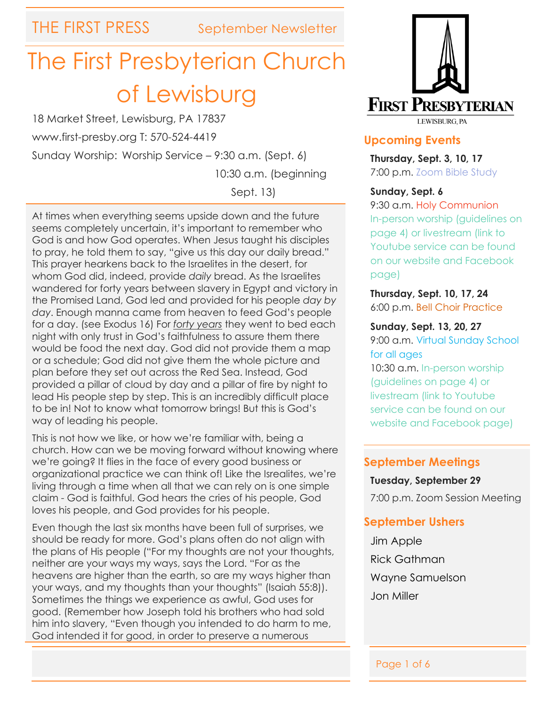# The First Presbyterian Church of Lewisburg

18 Market Street, Lewisburg, PA 17837

www.first-presby.org T: 570-524-4419

Sunday Worship: Worship Service – 9:30 a.m. (Sept. 6)

10:30 a.m. (beginning

Sept. 13)

At times when everything seems upside down and the future seems completely uncertain, it's important to remember who God is and how God operates. When Jesus taught his disciples to pray, he told them to say, "give us this day our daily bread." This prayer hearkens back to the Israelites in the desert, for whom God did, indeed, provide *daily* bread. As the Israelites wandered for forty years between slavery in Egypt and victory in the Promised Land, God led and provided for his people *day by day*. Enough manna came from heaven to feed God's people for a day. (see Exodus 16) For *forty years* they went to bed each night with only trust in God's faithfulness to assure them there would be food the next day. God did not provide them a map or a schedule; God did not give them the whole picture and plan before they set out across the Red Sea. Instead, God provided a pillar of cloud by day and a pillar of fire by night to lead His people step by step. This is an incredibly difficult place to be in! Not to know what tomorrow brings! But this is God's way of leading his people.

This is not how we like, or how we're familiar with, being a church. How can we be moving forward without knowing where we're going? It flies in the face of every good business or organizational practice we can think of! Like the Isrealites, we're living through a time when all that we can rely on is one simple claim - God is faithful. God hears the cries of his people, God loves his people, and God provides for his people.

Even though the last six months have been full of surprises, we should be ready for more. God's plans often do not align with the plans of His people ("For my thoughts are not your thoughts, neither are your ways my ways, says the Lord. "For as the heavens are higher than the earth, so are my ways higher than your ways, and my thoughts than your thoughts" (Isaiah 55:8)). Sometimes the things we experience as awful, God uses for good. (Remember how Joseph told his brothers who had sold him into slavery, "Even though you intended to do harm to me, God intended it for good, in order to preserve a numerous



#### **Upcoming Events**

**Thursday, Sept. 3, 10, 17** 7:00 p.m. Zoom Bible Study

#### **Sunday, Sept. 6**

9:30 a.m. Holy Communion In-person worship (guidelines on page 4) or livestream (link to Youtube service can be found on our website and Facebook page)

**Thursday, Sept. 10, 17, 24** 6:00 p.m. Bell Choir Practice

**Sunday, Sept. 13, 20, 27** 9:00 a.m. Virtual Sunday School for all ages

10:30 a.m. In-person worship (guidelines on page 4) or livestream (link to Youtube service can be found on our website and Facebook page)

#### **September Meetings**

#### **Tuesday, September 29**

7:00 p.m. Zoom Session Meeting

#### **September Ushers**

Jim Apple Rick Gathman Wayne Samuelson Jon Miller

Ī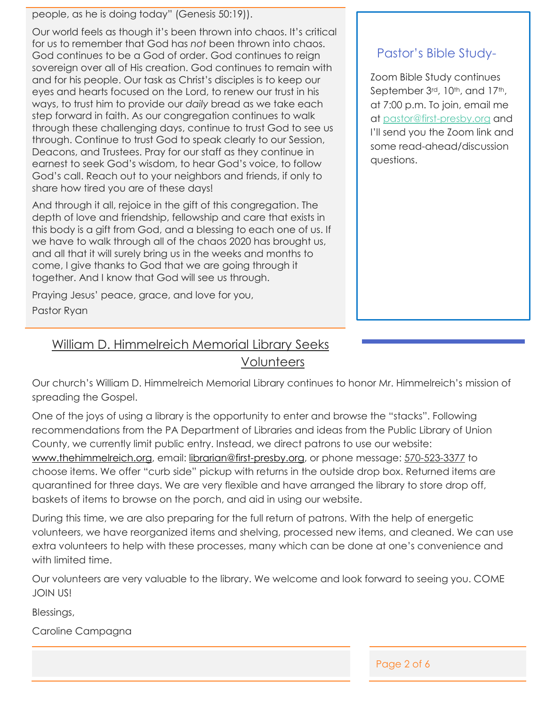people, as he is doing today" (Genesis 50:19)).

Our world feels as though it's been thrown into chaos. It's critical for us to remember that God has *not* been thrown into chaos. God continues to be a God of order. God continues to reign sovereign over all of His creation. God continues to remain with and for his people. Our task as Christ's disciples is to keep our eyes and hearts focused on the Lord, to renew our trust in his ways, to trust him to provide our *daily* bread as we take each step forward in faith. As our congregation continues to walk through these challenging days, continue to trust God to see us through. Continue to trust God to speak clearly to our Session, Deacons, and Trustees. Pray for our staff as they continue in earnest to seek God's wisdom, to hear God's voice, to follow God's call. Reach out to your neighbors and friends, if only to share how tired you are of these days!

And through it all, rejoice in the gift of this congregation. The depth of love and friendship, fellowship and care that exists in this body is a gift from God, and a blessing to each one of us. If we have to walk through all of the chaos 2020 has brought us, and all that it will surely bring us in the weeks and months to come, I give thanks to God that we are going through it together. And I know that God will see us through.

Praying Jesus' peace, grace, and love for you, Pastor Ryan

#### Pastor's Bible Study-

Zoom Bible Study continues September 3rd, 10<sup>th</sup>, and 17<sup>th</sup>, at 7:00 p.m. To join, email me at [pastor@first-presby.org](mailto:pastor@first-presby.org) and I'll send you the Zoom link and some read-ahead/discussion questions.

William D. Himmelreich Memorial Library Seeks

Volunteers

Our church's William D. Himmelreich Memorial Library continues to honor Mr. Himmelreich's mission of spreading the Gospel.

One of the joys of using a library is the opportunity to enter and browse the "stacks". Following recommendations from the PA Department of Libraries and ideas from the Public Library of Union County, we currently limit public entry. Instead, we direct patrons to use our website: [www.thehimmelreich.org,](http://www.thehimmelreich.org/) email: [librarian@first-presby.org,](mailto:librarian@first-presby.org) or phone message: 570-523-3377 to choose items. We offer "curb side" pickup with returns in the outside drop box. Returned items are quarantined for three days. We are very flexible and have arranged the library to store drop off, baskets of items to browse on the porch, and aid in using our website.

During this time, we are also preparing for the full return of patrons. With the help of energetic volunteers, we have reorganized items and shelving, processed new items, and cleaned. We can use extra volunteers to help with these processes, many which can be done at one's convenience and with limited time.

Our volunteers are very valuable to the library. We welcome and look forward to seeing you. COME JOIN US!

Blessings,

Caroline Campagna

Page 2 of 6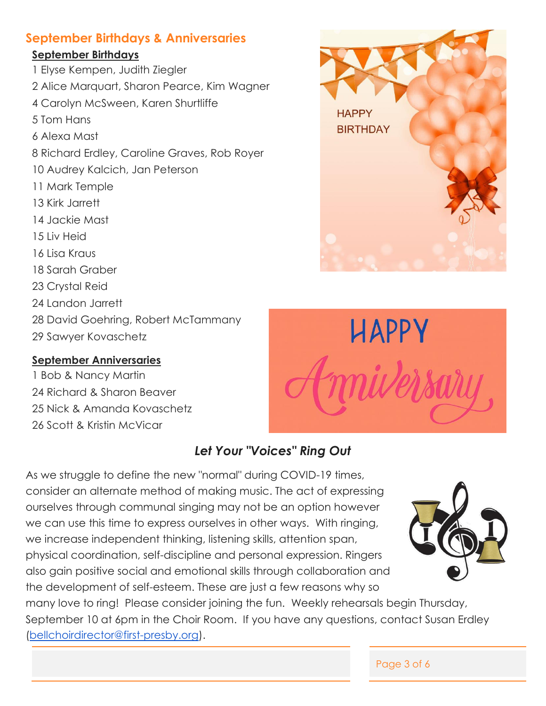#### **September Birthdays & Anniversaries**

#### **September Birthdays**

1 Elyse Kempen, Judith Ziegler 2 Alice Marquart, Sharon Pearce, Kim Wagner 4 Carolyn McSween, Karen Shurtliffe 5 Tom Hans 6 Alexa Mast 8 Richard Erdley, Caroline Graves, Rob Royer 10 Audrey Kalcich, Jan Peterson 11 Mark Temple 13 Kirk Jarrett 14 Jackie Mast 15 Liv Heid 16 Lisa Kraus 18 Sarah Graber 23 Crystal Reid 24 Landon Jarrett 28 David Goehring, Robert McTammany 29 Sawyer Kovaschetz

#### **September Anniversaries**

1 Bob & Nancy Martin 24 Richard & Sharon Beaver 25 Nick & Amanda Kovaschetz 26 Scott & Kristin McVicar



**HAPPY** 

**BIRTHDAY** 

### *Let Your "Voices" Ring Out*

As we struggle to define the new "normal" during COVID-19 times, consider an alternate method of making music. The act of expressing ourselves through communal singing may not be an option however we can use this time to express ourselves in other ways. With ringing, we increase independent thinking, listening skills, attention span, physical coordination, self-discipline and personal expression. Ringers also gain positive social and emotional skills through collaboration and the development of self-esteem. These are just a few reasons why so



many love to ring! Please consider joining the fun. Weekly rehearsals begin Thursday, September 10 at 6pm in the Choir Room. If you have any questions, contact Susan Erdley [\(bellchoirdirector@first-presby.org\)](mailto:bellchoirdirector@first-presby.org).

Page 3 of 6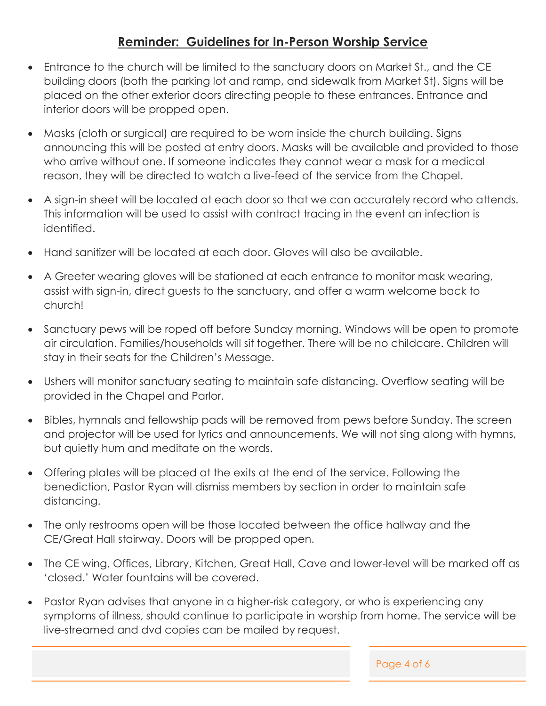#### **Reminder: Guidelines for In-Person Worship Service**

- Entrance to the church will be limited to the sanctuary doors on Market St., and the CE building doors (both the parking lot and ramp, and sidewalk from Market St). Signs will be placed on the other exterior doors directing people to these entrances. Entrance and interior doors will be propped open.
- Masks (cloth or surgical) are required to be worn inside the church building. Signs announcing this will be posted at entry doors. Masks will be available and provided to those who arrive without one. If someone indicates they cannot wear a mask for a medical reason, they will be directed to watch a live-feed of the service from the Chapel.
- A sign-in sheet will be located at each door so that we can accurately record who attends. This information will be used to assist with contract tracing in the event an infection is identified.
- Hand sanitizer will be located at each door. Gloves will also be available.
- A Greeter wearing gloves will be stationed at each entrance to monitor mask wearing, assist with sign-in, direct guests to the sanctuary, and offer a warm welcome back to church!
- Sanctuary pews will be roped off before Sunday morning. Windows will be open to promote air circulation. Families/households will sit together. There will be no childcare. Children will stay in their seats for the Children's Message.
- Ushers will monitor sanctuary seating to maintain safe distancing. Overflow seating will be provided in the Chapel and Parlor.
- Bibles, hymnals and fellowship pads will be removed from pews before Sunday. The screen and projector will be used for lyrics and announcements. We will not sing along with hymns, but quietly hum and meditate on the words.
- Offering plates will be placed at the exits at the end of the service. Following the benediction, Pastor Ryan will dismiss members by section in order to maintain safe distancing.
- The only restrooms open will be those located between the office hallway and the CE/Great Hall stairway. Doors will be propped open.
- The CE wing, Offices, Library, Kitchen, Great Hall, Cave and lower-level will be marked off as 'closed.' Water fountains will be covered.
- Pastor Ryan advises that anyone in a higher-risk category, or who is experiencing any symptoms of illness, should continue to participate in worship from home. The service will be live-streamed and dvd copies can be mailed by request.

Page 4 of 6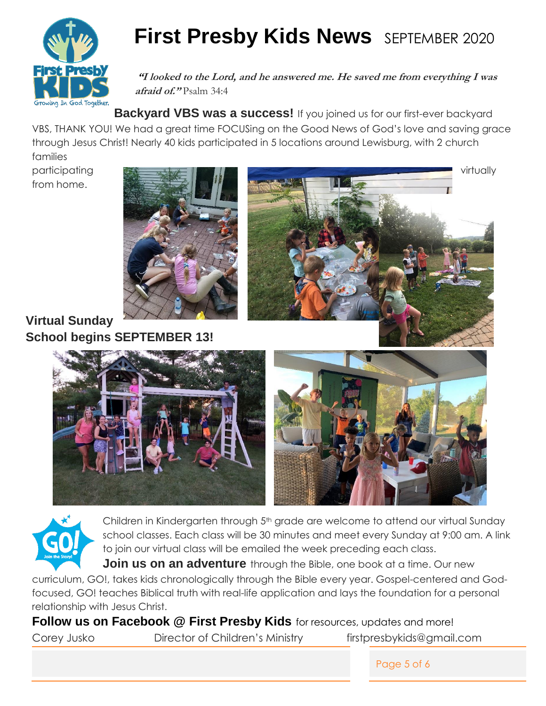

## **First Presby Kids News** SEPTEMBER 2020

**"I looked to the Lord, and he answered me. He saved me from everything I was afraid of."** Psalm 34:4

**Backyard VBS was a success!** If you joined us for our first-ever backyard VBS, THANK YOU! We had a great time FOCUSing on the Good News of God's love and saving grace through Jesus Christ! Nearly 40 kids participated in 5 locations around Lewisburg, with 2 church families

from home.



**Virtual Sunday School begins SEPTEMBER 13!** 











Children in Kindergarten through 5<sup>th</sup> grade are welcome to attend our virtual Sunday school classes. Each class will be 30 minutes and meet every Sunday at 9:00 am. A link to join our virtual class will be emailed the week preceding each class.

**Join us on an adventure** through the Bible, one book at a time. Our new

curriculum, GO!, takes kids chronologically through the Bible every year. Gospel-centered and Godfocused, GO! teaches Biblical truth with real-life application and lays the foundation for a personal relationship with Jesus Christ.

**Follow us on Facebook @ First Presby Kids** for resources, updates and more! Corey Jusko Director of Children's Ministry firstpresbykids@gmail.com

Page 5 of 6